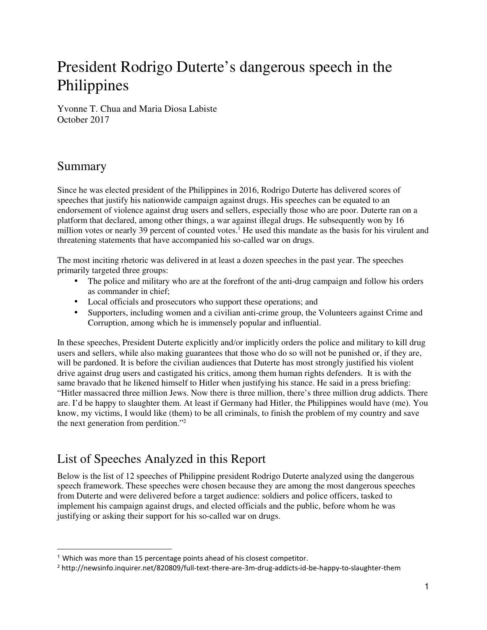# President Rodrigo Duterte's dangerous speech in the Philippines

Yvonne T. Chua and Maria Diosa Labiste October 2017

# Summary

 $\overline{a}$ 

Since he was elected president of the Philippines in 2016, Rodrigo Duterte has delivered scores of speeches that justify his nationwide campaign against drugs. His speeches can be equated to an endorsement of violence against drug users and sellers, especially those who are poor. Duterte ran on a platform that declared, among other things, a war against illegal drugs. He subsequently won by 16 million votes or nearly 39 percent of counted votes.<sup>1</sup> He used this mandate as the basis for his virulent and threatening statements that have accompanied his so-called war on drugs.

The most inciting rhetoric was delivered in at least a dozen speeches in the past year. The speeches primarily targeted three groups:

- The police and military who are at the forefront of the anti-drug campaign and follow his orders as commander in chief;
- Local officials and prosecutors who support these operations; and
- Supporters, including women and a civilian anti-crime group, the Volunteers against Crime and Corruption, among which he is immensely popular and influential.

In these speeches, President Duterte explicitly and/or implicitly orders the police and military to kill drug users and sellers, while also making guarantees that those who do so will not be punished or, if they are, will be pardoned. It is before the civilian audiences that Duterte has most strongly justified his violent drive against drug users and castigated his critics, among them human rights defenders. It is with the same bravado that he likened himself to Hitler when justifying his stance. He said in a press briefing: "Hitler massacred three million Jews. Now there is three million, there's three million drug addicts. There are. I'd be happy to slaughter them. At least if Germany had Hitler, the Philippines would have (me). You know, my victims, I would like (them) to be all criminals, to finish the problem of my country and save the next generation from perdition."<sup>2</sup>

# List of Speeches Analyzed in this Report

Below is the list of 12 speeches of Philippine president Rodrigo Duterte analyzed using the dangerous speech framework. These speeches were chosen because they are among the most dangerous speeches from Duterte and were delivered before a target audience: soldiers and police officers, tasked to implement his campaign against drugs, and elected officials and the public, before whom he was justifying or asking their support for his so-called war on drugs.

<sup>&</sup>lt;sup>1</sup> Which was more than 15 percentage points ahead of his closest competitor.

<sup>&</sup>lt;sup>2</sup> http://newsinfo.inquirer.net/820809/full-text-there-are-3m-drug-addicts-id-be-happy-to-slaughter-them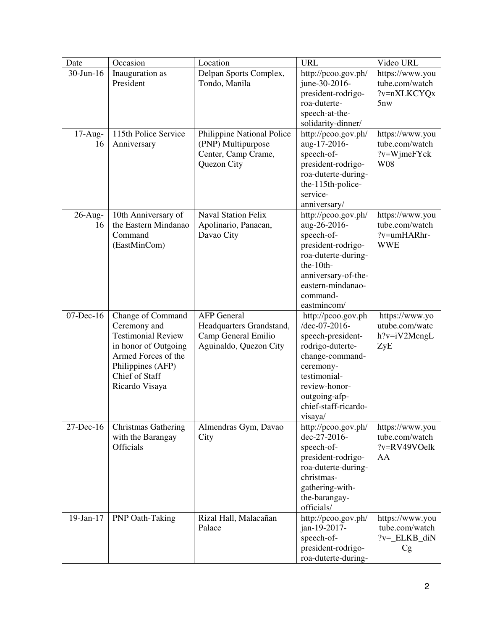| Date          | Occasion                        | Location                   | <b>URL</b>                                | Video URL                         |
|---------------|---------------------------------|----------------------------|-------------------------------------------|-----------------------------------|
| 30-Jun-16     | Inauguration as                 | Delpan Sports Complex,     | http://pcoo.gov.ph/                       | https://www.you                   |
|               | President                       | Tondo, Manila              | june-30-2016-                             | tube.com/watch                    |
|               |                                 |                            | president-rodrigo-                        | ?v=nXLKCYQx                       |
|               |                                 |                            | roa-duterte-                              | 5 <sub>nw</sub>                   |
|               |                                 |                            | speech-at-the-                            |                                   |
|               |                                 |                            | solidarity-dinner/                        |                                   |
| $17-Aug-$     | 115th Police Service            | Philippine National Police | http://pcoo.gov.ph/                       | https://www.you                   |
| 16            | Anniversary                     | (PNP) Multipurpose         | aug-17-2016-                              | tube.com/watch                    |
|               |                                 | Center, Camp Crame,        | speech-of-                                | $?v=WjmeFYck$                     |
|               |                                 | Quezon City                | president-rodrigo-                        | <b>W08</b>                        |
|               |                                 |                            | roa-duterte-during-                       |                                   |
|               |                                 |                            | the-115th-police-                         |                                   |
|               |                                 |                            | service-                                  |                                   |
|               |                                 |                            | anniversary/                              |                                   |
| $26$ -Aug-    | 10th Anniversary of             | <b>Naval Station Felix</b> | http://pcoo.gov.ph/                       | https://www.you                   |
| 16            | the Eastern Mindanao<br>Command | Apolinario, Panacan,       | aug-26-2016-                              | tube.com/watch                    |
|               |                                 | Davao City                 | speech-of-                                | ?v=umHARhr-<br><b>WWE</b>         |
|               | (EastMinCom)                    |                            | president-rodrigo-<br>roa-duterte-during- |                                   |
|               |                                 |                            | the-10th-                                 |                                   |
|               |                                 |                            | anniversary-of-the-                       |                                   |
|               |                                 |                            | eastern-mindanao-                         |                                   |
|               |                                 |                            | command-                                  |                                   |
|               |                                 |                            | eastmincom/                               |                                   |
| 07-Dec-16     | Change of Command               | <b>AFP</b> General         | http://pcoo.gov.ph                        | https://www.yo                    |
|               | Ceremony and                    | Headquarters Grandstand,   | /dec-07-2016-                             | utube.com/watc                    |
|               | <b>Testimonial Review</b>       | Camp General Emilio        | speech-president-                         | $h$ ?v=iV2McngL                   |
|               | in honor of Outgoing            | Aguinaldo, Quezon City     | rodrigo-duterte-                          | ZyE                               |
|               | Armed Forces of the             |                            | change-command-                           |                                   |
|               | Philippines (AFP)               |                            | ceremony-                                 |                                   |
|               | Chief of Staff                  |                            | testimonial-                              |                                   |
|               | Ricardo Visaya                  |                            | review-honor-                             |                                   |
|               |                                 |                            | outgoing-afp-                             |                                   |
|               |                                 |                            | chief-staff-ricardo-                      |                                   |
|               |                                 |                            | visaya/                                   |                                   |
| $27 - Dec-16$ | <b>Christmas Gathering</b>      | Almendras Gym, Davao       | http://pcoo.gov.ph/<br>dec-27-2016-       | https://www.you<br>tube.com/watch |
|               | with the Barangay<br>Officials  | City                       | speech-of-                                | ?v=RV49VOelk                      |
|               |                                 |                            | president-rodrigo-                        | AA                                |
|               |                                 |                            | roa-duterte-during-                       |                                   |
|               |                                 |                            | christmas-                                |                                   |
|               |                                 |                            | gathering-with-                           |                                   |
|               |                                 |                            | the-barangay-                             |                                   |
|               |                                 |                            | officials/                                |                                   |
| 19-Jan-17     | PNP Oath-Taking                 | Rizal Hall, Malacañan      | http://pcoo.gov.ph/                       | https://www.you                   |
|               |                                 | Palace                     | jan-19-2017-                              | tube.com/watch                    |
|               |                                 |                            | speech-of-                                | $?v =$ ELKB_diN                   |
|               |                                 |                            | president-rodrigo-                        | Cg                                |
|               |                                 |                            | roa-duterte-during-                       |                                   |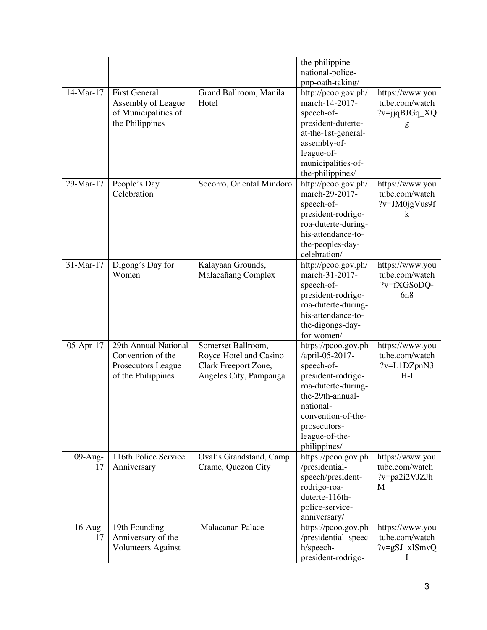|                  |                                                                                       |                                                                                                | the-philippine-<br>national-police-<br>pnp-oath-taking/                                                                                                                                                    |                                                             |
|------------------|---------------------------------------------------------------------------------------|------------------------------------------------------------------------------------------------|------------------------------------------------------------------------------------------------------------------------------------------------------------------------------------------------------------|-------------------------------------------------------------|
| 14-Mar-17        | <b>First General</b><br>Assembly of League<br>of Municipalities of<br>the Philippines | Grand Ballroom, Manila<br>Hotel                                                                | http://pcoo.gov.ph/<br>march-14-2017-<br>speech-of-<br>president-duterte-<br>at-the-1st-general-<br>assembly-of-<br>league-of-<br>municipalities-of-<br>the-philippines/                                   | https://www.you<br>tube.com/watch<br>$?v=jjqBJGq_XQ$<br>g   |
| 29-Mar-17        | People's Day<br>Celebration                                                           | Socorro, Oriental Mindoro                                                                      | http://pcoo.gov.ph/<br>march-29-2017-<br>speech-of-<br>president-rodrigo-<br>roa-duterte-during-<br>his-attendance-to-<br>the-peoples-day-<br>celebration/                                                 | https://www.you<br>tube.com/watch<br>?v=JM0jgVus9f<br>k     |
| 31-Mar-17        | Digong's Day for<br>Women                                                             | Kalayaan Grounds,<br>Malacañang Complex                                                        | http://pcoo.gov.ph/<br>march-31-2017-<br>speech-of-<br>president-rodrigo-<br>roa-duterte-during-<br>his-attendance-to-<br>the-digongs-day-<br>for-women/                                                   | https://www.you<br>tube.com/watch<br>?v=fXGSoDQ-<br>6n8     |
| 05-Apr-17        | 29th Annual National<br>Convention of the<br>Prosecutors League<br>of the Philippines | Somerset Ballroom,<br>Royce Hotel and Casino<br>Clark Freeport Zone,<br>Angeles City, Pampanga | https://pcoo.gov.ph<br>/april-05-2017-<br>speech-of-<br>president-rodrigo-<br>roa-duterte-during-<br>the-29th-annual-<br>national-<br>convention-of-the-<br>prosecutors-<br>league-of-the-<br>philippines/ | https://www.you<br>tube.com/watch<br>$?v=L1DZpnN3$<br>$H-I$ |
| $09-Aug-$<br>17  | 116th Police Service<br>Anniversary                                                   | Oval's Grandstand, Camp<br>Crame, Quezon City                                                  | https://pcoo.gov.ph<br>/presidential-<br>speech/president-<br>rodrigo-roa-<br>duterte-116th-<br>police-service-<br>anniversary/                                                                            | https://www.you<br>tube.com/watch<br>?v=pa2i2VJZJh<br>M     |
| $16$ -Aug-<br>17 | 19th Founding<br>Anniversary of the<br><b>Volunteers Against</b>                      | Malacañan Palace                                                                               | https://pcoo.gov.ph<br>/presidential_speec<br>h/speech-<br>president-rodrigo-                                                                                                                              | https://www.you<br>tube.com/watch<br>$?v=gSJ_xlSmvQ$<br>1   |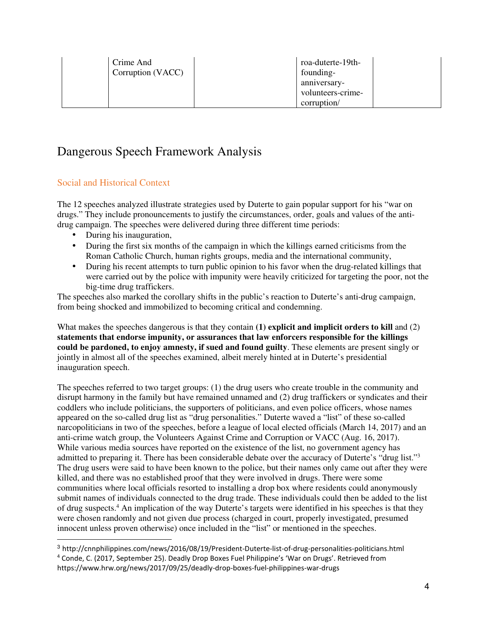| Crime And         | roa-duterte-19th- |  |
|-------------------|-------------------|--|
| Corruption (VACC) | founding-         |  |
|                   | anniversary-      |  |
|                   | volunteers-crime- |  |
|                   | corruption/       |  |

# Dangerous Speech Framework Analysis

# Social and Historical Context

The 12 speeches analyzed illustrate strategies used by Duterte to gain popular support for his "war on drugs." They include pronouncements to justify the circumstances, order, goals and values of the antidrug campaign. The speeches were delivered during three different time periods:

• During his inauguration,

l.

- During the first six months of the campaign in which the killings earned criticisms from the Roman Catholic Church, human rights groups, media and the international community,
- During his recent attempts to turn public opinion to his favor when the drug-related killings that were carried out by the police with impunity were heavily criticized for targeting the poor, not the big-time drug traffickers.

The speeches also marked the corollary shifts in the public's reaction to Duterte's anti-drug campaign, from being shocked and immobilized to becoming critical and condemning.

What makes the speeches dangerous is that they contain **(1) explicit and implicit orders to kill** and (2) **statements that endorse impunity, or assurances that law enforcers responsible for the killings could be pardoned, to enjoy amnesty, if sued and found guilty**. These elements are present singly or jointly in almost all of the speeches examined, albeit merely hinted at in Duterte's presidential inauguration speech.

The speeches referred to two target groups: (1) the drug users who create trouble in the community and disrupt harmony in the family but have remained unnamed and (2) drug traffickers or syndicates and their coddlers who include politicians, the supporters of politicians, and even police officers, whose names appeared on the so-called drug list as "drug personalities." Duterte waved a "list" of these so-called narcopoliticians in two of the speeches, before a league of local elected officials (March 14, 2017) and an anti-crime watch group, the Volunteers Against Crime and Corruption or VACC (Aug. 16, 2017). While various media sources have reported on the existence of the list, no government agency has admitted to preparing it. There has been considerable debate over the accuracy of Duterte's "drug list."<sup>3</sup> The drug users were said to have been known to the police, but their names only came out after they were killed, and there was no established proof that they were involved in drugs. There were some communities where local officials resorted to installing a drop box where residents could anonymously submit names of individuals connected to the drug trade. These individuals could then be added to the list of drug suspects.<sup>4</sup> An implication of the way Duterte's targets were identified in his speeches is that they were chosen randomly and not given due process (charged in court, properly investigated, presumed innocent unless proven otherwise) once included in the "list" or mentioned in the speeches.

<sup>3</sup> http://cnnphilippines.com/news/2016/08/19/President-Duterte-list-of-drug-personalities-politicians.html 4 Conde, C. (2017, September 25). Deadly Drop Boxes Fuel Philippine's 'War on Drugs'. Retrieved from https://www.hrw.org/news/2017/09/25/deadly-drop-boxes-fuel-philippines-war-drugs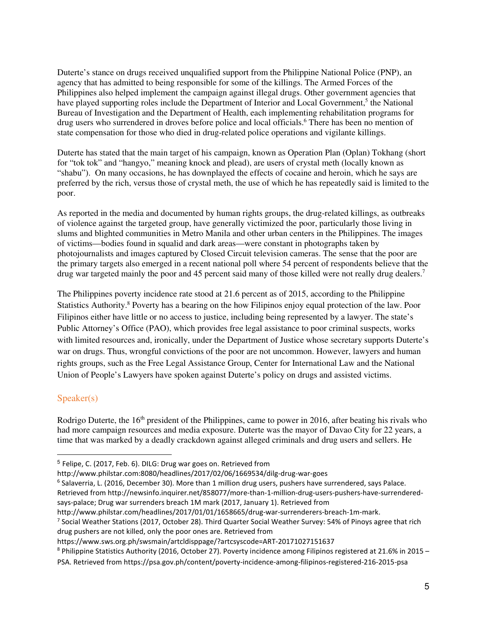Duterte's stance on drugs received unqualified support from the Philippine National Police (PNP), an agency that has admitted to being responsible for some of the killings. The Armed Forces of the Philippines also helped implement the campaign against illegal drugs. Other government agencies that have played supporting roles include the Department of Interior and Local Government,<sup>5</sup> the National Bureau of Investigation and the Department of Health, each implementing rehabilitation programs for drug users who surrendered in droves before police and local officials.<sup>6</sup> There has been no mention of state compensation for those who died in drug-related police operations and vigilante killings.

Duterte has stated that the main target of his campaign, known as Operation Plan (Oplan) Tokhang (short for "tok tok" and "hangyo," meaning knock and plead), are users of crystal meth (locally known as "shabu"). On many occasions, he has downplayed the effects of cocaine and heroin, which he says are preferred by the rich, versus those of crystal meth, the use of which he has repeatedly said is limited to the poor.

As reported in the media and documented by human rights groups, the drug-related killings, as outbreaks of violence against the targeted group, have generally victimized the poor, particularly those living in slums and blighted communities in Metro Manila and other urban centers in the Philippines. The images of victims—bodies found in squalid and dark areas—were constant in photographs taken by photojournalists and images captured by Closed Circuit television cameras. The sense that the poor are the primary targets also emerged in a recent national poll where 54 percent of respondents believe that the drug war targeted mainly the poor and 45 percent said many of those killed were not really drug dealers.<sup>7</sup>

The Philippines poverty incidence rate stood at 21.6 percent as of 2015, according to the Philippine Statistics Authority.<sup>8</sup> Poverty has a bearing on the how Filipinos enjoy equal protection of the law. Poor Filipinos either have little or no access to justice, including being represented by a lawyer. The state's Public Attorney's Office (PAO), which provides free legal assistance to poor criminal suspects, works with limited resources and, ironically, under the Department of Justice whose secretary supports Duterte's war on drugs. Thus, wrongful convictions of the poor are not uncommon. However, lawyers and human rights groups, such as the Free Legal Assistance Group, Center for International Law and the National Union of People's Lawyers have spoken against Duterte's policy on drugs and assisted victims.

# Speaker(s)

 $\overline{a}$ 

Rodrigo Duterte, the 16<sup>th</sup> president of the Philippines, came to power in 2016, after beating his rivals who had more campaign resources and media exposure. Duterte was the mayor of Davao City for 22 years, a time that was marked by a deadly crackdown against alleged criminals and drug users and sellers. He

http://www.philstar.com:8080/headlines/2017/02/06/1669534/dilg-drug-war-goes

<sup>6</sup> Salaverria, L. (2016, December 30). More than 1 million drug users, pushers have surrendered, says Palace. Retrieved from http://newsinfo.inquirer.net/858077/more-than-1-million-drug-users-pushers-have-surrenderedsays-palace; Drug war surrenders breach 1M mark (2017, January 1). Retrieved from

http://www.philstar.com/headlines/2017/01/01/1658665/drug-war-surrenderers-breach-1m-mark.

<sup>7</sup> Social Weather Stations (2017, October 28). Third Quarter Social Weather Survey: 54% of Pinoys agree that rich drug pushers are not killed, only the poor ones are. Retrieved from

<sup>5</sup> Felipe, C. (2017, Feb. 6). DILG: Drug war goes on. Retrieved from

https://www.sws.org.ph/swsmain/artcldisppage/?artcsyscode=ART-20171027151637

<sup>&</sup>lt;sup>8</sup> Philippine Statistics Authority (2016, October 27). Poverty incidence among Filipinos registered at 21.6% in 2015 -PSA. Retrieved from https://psa.gov.ph/content/poverty-incidence-among-filipinos-registered-216-2015-psa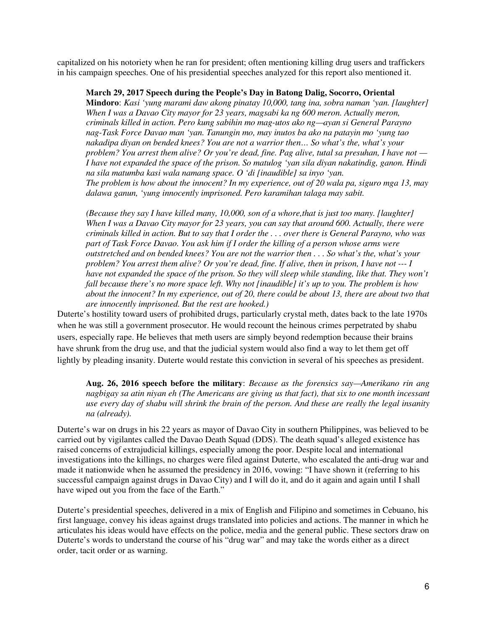capitalized on his notoriety when he ran for president; often mentioning killing drug users and traffickers in his campaign speeches. One of his presidential speeches analyzed for this report also mentioned it.

#### **March 29, 2017 Speech during the People's Day in Batong Dalig, Socorro, Oriental**

**Mindoro**: *Kasi 'yung marami daw akong pinatay 10,000, tang ina, sobra naman 'yan. [laughter] When I was a Davao City mayor for 23 years, magsabi ka ng 600 meron. Actually meron, criminals killed in action. Pero kung sabihin mo mag-utos ako ng—ayan si General Parayno nag-Task Force Davao man 'yan. Tanungin mo, may inutos ba ako na patayin mo 'yung tao nakadipa diyan on bended knees? You are not a warrior then… So what's the, what's your problem? You arrest them alive? Or you're dead, fine. Pag alive, tutal sa presuhan, I have not — I have not expanded the space of the prison. So matulog 'yan sila diyan nakatindig, ganon. Hindi na sila matumba kasi wala namang space. O 'di [inaudible] sa inyo 'yan. The problem is how about the innocent? In my experience, out of 20 wala pa, siguro mga 13, may dalawa ganun, 'yung innocently imprisoned. Pero karamihan talaga may sabit.* 

*(Because they say I have killed many, 10,000, son of a whore,that is just too many. [laughter] When I was a Davao City mayor for 23 years, you can say that around 600. Actually, there were criminals killed in action. But to say that I order the . . . over there is General Parayno, who was part of Task Force Davao. You ask him if I order the killing of a person whose arms were outstretched and on bended knees? You are not the warrior then . . . So what's the, what's your problem? You arrest them alive? Or you're dead, fine. If alive, then in prison, I have not --- I have not expanded the space of the prison. So they will sleep while standing, like that. They won't fall because there's no more space left. Why not [inaudible] it's up to you. The problem is how about the innocent? In my experience, out of 20, there could be about 13, there are about two that are innocently imprisoned. But the rest are hooked.)* 

Duterte's hostility toward users of prohibited drugs, particularly crystal meth, dates back to the late 1970s when he was still a government prosecutor. He would recount the heinous crimes perpetrated by shabu users, especially rape. He believes that meth users are simply beyond redemption because their brains have shrunk from the drug use, and that the judicial system would also find a way to let them get off lightly by pleading insanity. Duterte would restate this conviction in several of his speeches as president.

**Aug. 26, 2016 speech before the military**: *Because as the forensics say—Amerikano rin ang nagbigay sa atin niyan eh (The Americans are giving us that fact), that six to one month incessant use every day of shabu will shrink the brain of the person. And these are really the legal insanity na (already).*

Duterte's war on drugs in his 22 years as mayor of Davao City in southern Philippines, was believed to be carried out by vigilantes called the Davao Death Squad (DDS). The death squad's alleged existence has raised concerns of extrajudicial killings, especially among the poor. Despite local and international investigations into the killings, no charges were filed against Duterte, who escalated the anti-drug war and made it nationwide when he assumed the presidency in 2016, vowing: "I have shown it (referring to his successful campaign against drugs in Davao City) and I will do it, and do it again and again until I shall have wiped out you from the face of the Earth."

Duterte's presidential speeches, delivered in a mix of English and Filipino and sometimes in Cebuano, his first language, convey his ideas against drugs translated into policies and actions. The manner in which he articulates his ideas would have effects on the police, media and the general public. These sectors draw on Duterte's words to understand the course of his "drug war" and may take the words either as a direct order, tacit order or as warning.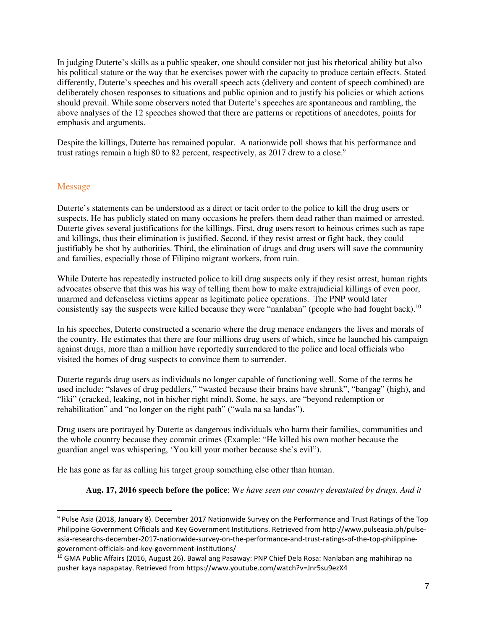In judging Duterte's skills as a public speaker, one should consider not just his rhetorical ability but also his political stature or the way that he exercises power with the capacity to produce certain effects. Stated differently, Duterte's speeches and his overall speech acts (delivery and content of speech combined) are deliberately chosen responses to situations and public opinion and to justify his policies or which actions should prevail. While some observers noted that Duterte's speeches are spontaneous and rambling, the above analyses of the 12 speeches showed that there are patterns or repetitions of anecdotes, points for emphasis and arguments.

Despite the killings, Duterte has remained popular. A nationwide poll shows that his performance and trust ratings remain a high 80 to 82 percent, respectively, as 2017 drew to a close.<sup>9</sup>

### Message

 $\overline{a}$ 

Duterte's statements can be understood as a direct or tacit order to the police to kill the drug users or suspects. He has publicly stated on many occasions he prefers them dead rather than maimed or arrested. Duterte gives several justifications for the killings. First, drug users resort to heinous crimes such as rape and killings, thus their elimination is justified. Second, if they resist arrest or fight back, they could justifiably be shot by authorities. Third, the elimination of drugs and drug users will save the community and families, especially those of Filipino migrant workers, from ruin.

While Duterte has repeatedly instructed police to kill drug suspects only if they resist arrest, human rights advocates observe that this was his way of telling them how to make extrajudicial killings of even poor, unarmed and defenseless victims appear as legitimate police operations. The PNP would later consistently say the suspects were killed because they were "nanlaban" (people who had fought back).<sup>10</sup>

In his speeches, Duterte constructed a scenario where the drug menace endangers the lives and morals of the country. He estimates that there are four millions drug users of which, since he launched his campaign against drugs, more than a million have reportedly surrendered to the police and local officials who visited the homes of drug suspects to convince them to surrender.

Duterte regards drug users as individuals no longer capable of functioning well. Some of the terms he used include: "slaves of drug peddlers," "wasted because their brains have shrunk", "bangag" (high), and "liki" (cracked, leaking, not in his/her right mind). Some, he says, are "beyond redemption or rehabilitation" and "no longer on the right path" ("wala na sa landas").

Drug users are portrayed by Duterte as dangerous individuals who harm their families, communities and the whole country because they commit crimes (Example: "He killed his own mother because the guardian angel was whispering, 'You kill your mother because she's evil").

He has gone as far as calling his target group something else other than human.

#### **Aug. 17, 2016 speech before the police**: W*e have seen our country devastated by drugs. And it*

<sup>&</sup>lt;sup>9</sup> Pulse Asia (2018, January 8). December 2017 Nationwide Survey on the Performance and Trust Ratings of the Top Philippine Government Officials and Key Government Institutions. Retrieved from http://www.pulseasia.ph/pulseasia-researchs-december-2017-nationwide-survey-on-the-performance-and-trust-ratings-of-the-top-philippinegovernment-officials-and-key-government-institutions/

<sup>10</sup> GMA Public Affairs (2016, August 26). Bawal ang Pasaway: PNP Chief Dela Rosa: Nanlaban ang mahihirap na pusher kaya napapatay. Retrieved from https://www.youtube.com/watch?v=Jnr5su9ezX4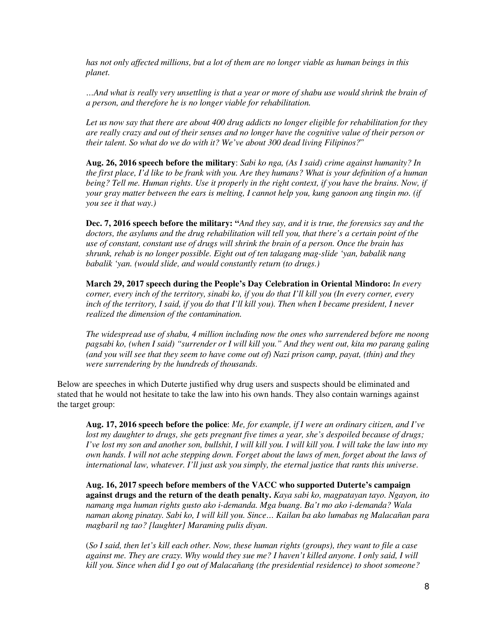*has not only affected millions, but a lot of them are no longer viable as human beings in this planet.* 

*…And what is really very unsettling is that a year or more of shabu use would shrink the brain of a person, and therefore he is no longer viable for rehabilitation.* 

*Let us now say that there are about 400 drug addicts no longer eligible for rehabilitation for they are really crazy and out of their senses and no longer have the cognitive value of their person or their talent. So what do we do with it? We've about 300 dead living Filipinos?*"

**Aug. 26, 2016 speech before the military**: *Sabi ko nga, (As I said) crime against humanity? In the first place, I'd like to be frank with you. Are they humans? What is your definition of a human being? Tell me. Human rights. Use it properly in the right context, if you have the brains. Now, if your gray matter between the ears is melting, I cannot help you, kung ganoon ang tingin mo. (if you see it that way.)*

**Dec. 7, 2016 speech before the military: "***And they say, and it is true, the forensics say and the doctors, the asylums and the drug rehabilitation will tell you, that there's a certain point of the use of constant, constant use of drugs will shrink the brain of a person. Once the brain has shrunk, rehab is no longer possible. Eight out of ten talagang mag-slide 'yan, babalik nang babalik 'yan. (would slide, and would constantly return (to drugs.)*

**March 29, 2017 speech during the People's Day Celebration in Oriental Mindoro:** *In every corner, every inch of the territory, sinabi ko, if you do that I'll kill you (In every corner, every inch of the territory, I said, if you do that I'll kill you). Then when I became president, I never realized the dimension of the contamination.* 

*The widespread use of shabu, 4 million including now the ones who surrendered before me noong pagsabi ko, (when I said) "surrender or I will kill you." And they went out, kita mo parang galing (and you will see that they seem to have come out of) Nazi prison camp, payat, (thin) and they were surrendering by the hundreds of thousands.* 

Below are speeches in which Duterte justified why drug users and suspects should be eliminated and stated that he would not hesitate to take the law into his own hands. They also contain warnings against the target group:

**Aug. 17, 2016 speech before the police**: *Me, for example, if I were an ordinary citizen, and I've lost my daughter to drugs, she gets pregnant five times a year, she's despoiled because of drugs; I've lost my son and another son, bullshit, I will kill you. I will kill you. I will take the law into my own hands. I will not ache stepping down. Forget about the laws of men, forget about the laws of international law, whatever. I'll just ask you simply, the eternal justice that rants this universe*.

**Aug. 16, 2017 speech before members of the VACC who supported Duterte's campaign against drugs and the return of the death penalty.** *Kaya sabi ko, magpatayan tayo. Ngayon, ito namang mga human rights gusto ako i-demanda. Mga buang. Ba't mo ako i-demanda? Wala naman akong pinatay. Sabi ko, I will kill you. Since… Kailan ba ako lumabas ng Malacañan para magbaril ng tao? [laughter] Maraming pulis diyan*.

(*So I said, then let's kill each other. Now, these human rights (groups), they want to file a case against me. They are crazy. Why would they sue me? I haven't killed anyone. I only said, I will kill you. Since when did I go out of Malacañang (the presidential residence) to shoot someone?*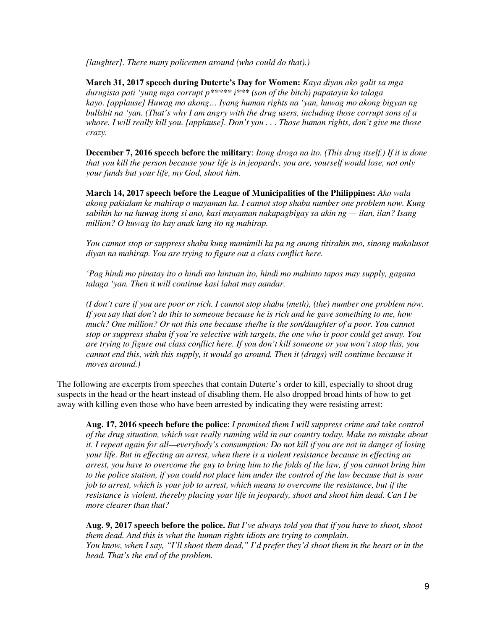*[laughter]. There many policemen around (who could do that).)*

**March 31, 2017 speech during Duterte's Day for Women:** *Kaya diyan ako galit sa mga durugista pati 'yung mga corrupt p\*\*\*\*\* i\*\*\* (son of the bitch) papatayin ko talaga kayo. [applause] Huwag mo akong… Iyang human rights na 'yan, huwag mo akong bigyan ng bullshit na 'yan. (That's why I am angry with the drug users, including those corrupt sons of a whore. I will really kill you. [applause]. Don't you . . . Those human rights, don't give me those crazy.* 

**December 7, 2016 speech before the military**: *Itong droga na ito. (This drug itself.) If it is done that you kill the person because your life is in jeopardy, you are, yourself would lose, not only your funds but your life, my God, shoot him.* 

**March 14, 2017 speech before the League of Municipalities of the Philippines:** *Ako wala akong pakialam ke mahirap o mayaman ka. I cannot stop shabu number one problem now. Kung sabihin ko na huwag itong si ano, kasi mayaman nakapagbigay sa akin ng — ilan, ilan? Isang million? O huwag ito kay anak lang ito ng mahirap.* 

*You cannot stop or suppress shabu kung mamimili ka pa ng anong titirahin mo, sinong makalusot diyan na mahirap. You are trying to figure out a class conflict here.* 

*'Pag hindi mo pinatay ito o hindi mo hintuan ito, hindi mo mahinto tapos may supply, gagana talaga 'yan. Then it will continue kasi lahat may aandar.* 

*(I don't care if you are poor or rich. I cannot stop shabu (meth), (the) number one problem now. If you say that don't do this to someone because he is rich and he gave something to me, how much? One million? Or not this one because she/he is the son/daughter of a poor. You cannot stop or suppress shabu if you're selective with targets, the one who is poor could get away. You are trying to figure out class conflict here. If you don't kill someone or you won't stop this, you cannot end this, with this supply, it would go around. Then it (drugs) will continue because it moves around.)*

The following are excerpts from speeches that contain Duterte's order to kill, especially to shoot drug suspects in the head or the heart instead of disabling them. He also dropped broad hints of how to get away with killing even those who have been arrested by indicating they were resisting arrest:

**Aug. 17, 2016 speech before the police**: *I promised them I will suppress crime and take control of the drug situation, which was really running wild in our country today. Make no mistake about it. I repeat again for all—everybody's consumption: Do not kill if you are not in danger of losing your life. But in effecting an arrest, when there is a violent resistance because in effecting an arrest, you have to overcome the guy to bring him to the folds of the law, if you cannot bring him to the police station, if you could not place him under the control of the law because that is your job to arrest, which is your job to arrest, which means to overcome the resistance, but if the resistance is violent, thereby placing your life in jeopardy, shoot and shoot him dead. Can I be more clearer than that?* 

**Aug. 9, 2017 speech before the police.** *But I've always told you that if you have to shoot, shoot them dead. And this is what the human rights idiots are trying to complain. You know, when I say, "I'll shoot them dead," I'd prefer they'd shoot them in the heart or in the head. That's the end of the problem.*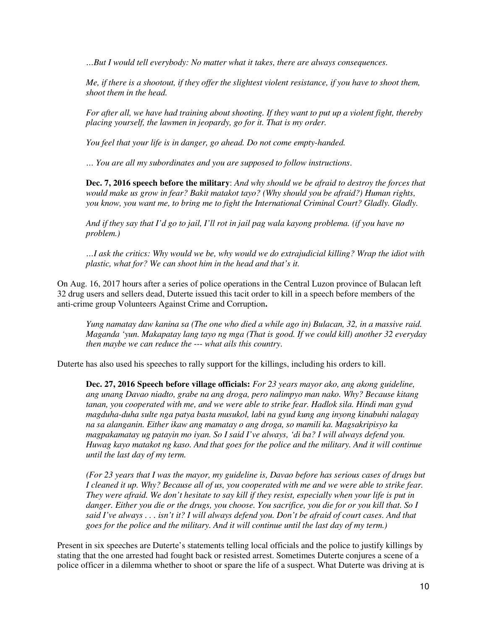*…But I would tell everybody: No matter what it takes, there are always consequences.* 

*Me, if there is a shootout, if they offer the slightest violent resistance, if you have to shoot them, shoot them in the head.* 

*For after all, we have had training about shooting. If they want to put up a violent fight, thereby placing yourself, the lawmen in jeopardy, go for it. That is my order.* 

*You feel that your life is in danger, go ahead. Do not come empty-handed.* 

*… You are all my subordinates and you are supposed to follow instructions*.

**Dec. 7, 2016 speech before the military**: *And why should we be afraid to destroy the forces that would make us grow in fear? Bakit matakot tayo? (Why should you be afraid?) Human rights, you know, you want me, to bring me to fight the International Criminal Court? Gladly. Gladly.* 

*And if they say that I'd go to jail, I'll rot in jail pag wala kayong problema. (if you have no problem.)* 

*…I ask the critics: Why would we be, why would we do extrajudicial killing? Wrap the idiot with plastic, what for? We can shoot him in the head and that's it.*

On Aug. 16, 2017 hours after a series of police operations in the Central Luzon province of Bulacan left 32 drug users and sellers dead, Duterte issued this tacit order to kill in a speech before members of the anti-crime group Volunteers Against Crime and Corruption**.** 

*Yung namatay daw kanina sa (The one who died a while ago in) Bulacan, 32, in a massive raid. Maganda 'yun. Makapatay lang tayo ng mga (That is good. If we could kill) another 32 everyday then maybe we can reduce the --- what ails this country*.

Duterte has also used his speeches to rally support for the killings, including his orders to kill.

**Dec. 27, 2016 Speech before village officials:** *For 23 years mayor ako, ang akong guideline, ang unang Davao niadto, grabe na ang droga, pero nalimpyo man nako. Why? Because kitang tanan, you cooperated with me, and we were able to strike fear. Hadlok sila. Hindi man gyud magduha-duha sulte nga patya basta musukol, labi na gyud kung ang inyong kinabuhi nalagay na sa alanganin. Either ikaw ang mamatay o ang droga, so mamili ka. Magsakripisyo ka magpakamatay ug patayin mo iyan. So I said I've always, 'di ba? I will always defend you. Huwag kayo matakot ng kaso. And that goes for the police and the military. And it will continue until the last day of my term.* 

*(For 23 years that I was the mayor, my guideline is, Davao before has serious cases of drugs but I cleaned it up. Why? Because all of us, you cooperated with me and we were able to strike fear. They were afraid. We don't hesitate to say kill if they resist, especially when your life is put in danger. Either you die or the drugs, you choose. You sacrifice, you die for or you kill that. So I said I've always . . . isn't it? I will always defend you. Don't be afraid of court cases. And that goes for the police and the military. And it will continue until the last day of my term.)*

Present in six speeches are Duterte's statements telling local officials and the police to justify killings by stating that the one arrested had fought back or resisted arrest. Sometimes Duterte conjures a scene of a police officer in a dilemma whether to shoot or spare the life of a suspect. What Duterte was driving at is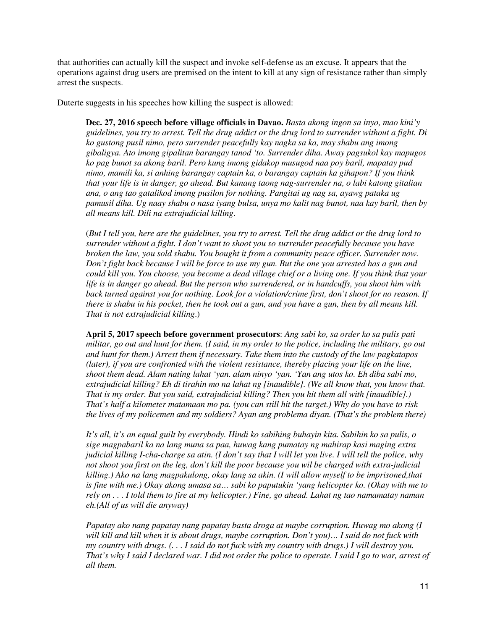that authorities can actually kill the suspect and invoke self-defense as an excuse. It appears that the operations against drug users are premised on the intent to kill at any sign of resistance rather than simply arrest the suspects.

Duterte suggests in his speeches how killing the suspect is allowed:

**Dec. 27, 2016 speech before village officials in Davao.** *Basta akong ingon sa inyo, mao kini'y guidelines, you try to arrest. Tell the drug addict or the drug lord to surrender without a fight. Di ko gustong pusil nimo, pero surrender peacefully kay nagka sa ka, may shabu ang imong gibaligya. Ato imong gipalitan barangay tanod 'to. Surrender diha. Away pagsukol kay mapugos ko pag bunot sa akong baril. Pero kung imong gidakop musugod naa poy baril, mapatay pud nimo, mamili ka, si anhing barangay captain ka, o barangay captain ka gihapon? If you think that your life is in danger, go ahead. But kanang taong nag-surrender na, o labi katong gitalian ana, o ang tao gatalikod imong pusilon for nothing. Pangitai ug nag sa, ayawg pataka ug pamusil diha. Ug naay shabu o nasa iyang bulsa, unya mo kalit nag bunot, naa kay baril, then by all means kill. Dili na extrajudicial killing*.

(*But I tell you, here are the guidelines, you try to arrest. Tell the drug addict or the drug lord to surrender without a fight. I don't want to shoot you so surrender peacefully because you have broken the law, you sold shabu. You bought it from a community peace officer. Surrender now. Don't fight back because I will be force to use my gun. But the one you arrested has a gun and could kill you. You choose, you become a dead village chief or a living one. If you think that your life is in danger go ahead. But the person who surrendered, or in handcuffs, you shoot him with back turned against you for nothing. Look for a violation/crime first, don't shoot for no reason. If there is shabu in his pocket, then he took out a gun, and you have a gun, then by all means kill. That is not extrajudicial killing*.)

**April 5, 2017 speech before government prosecutors**: *Ang sabi ko, sa order ko sa pulis pati militar, go out and hunt for them. (I said, in my order to the police, including the military, go out and hunt for them.) Arrest them if necessary. Take them into the custody of the law pagkatapos (later), if you are confronted with the violent resistance, thereby placing your life on the line, shoot them dead. Alam nating lahat 'yan. alam ninyo 'yan. 'Yan ang utos ko. Eh diba sabi mo, extrajudicial killing? Eh di tirahin mo na lahat ng [inaudible]. (We all know that, you know that. That is my order. But you said, extrajudicial killing? Then you hit them all with [inaudible].) That's half a kilometer matamaan mo pa. (you can still hit the target.) Why do you have to risk the lives of my policemen and my soldiers? Ayan ang problema diyan. (That's the problem there)* 

*It's all, it's an equal guilt by everybody. Hindi ko sabihing buhayin kita. Sabihin ko sa pulis, o sige magpabaril ka na lang muna sa paa, huwag kang pumatay ng mahirap kasi maging extra judicial killing I-cha-charge sa atin. (I don't say that I will let you live. I will tell the police, why not shoot you first on the leg, don't kill the poor because you wil be charged with extra-judicial killing.) Ako na lang magpakulong, okay lang sa akin. (I will allow myself to be imprisoned,that is fine with me.) Okay akong umasa sa… sabi ko paputukin 'yang helicopter ko. (Okay with me to rely on . . . I told them to fire at my helicopter.) Fine, go ahead. Lahat ng tao namamatay naman eh.(All of us will die anyway)* 

*Papatay ako nang papatay nang papatay basta droga at maybe corruption. Huwag mo akong (I will kill and kill when it is about drugs, maybe corruption. Don't you)… I said do not fuck with my country with drugs. (. . . I said do not fuck with my country with drugs.) I will destroy you. That's why I said I declared war. I did not order the police to operate. I said I go to war, arrest of all them.*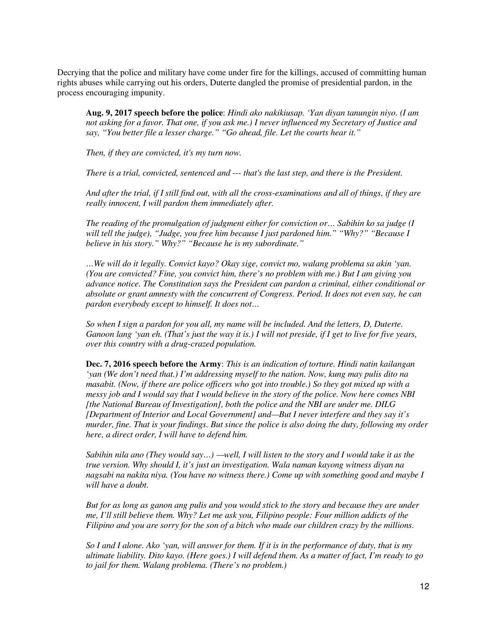Decrying that the police and military have come under fire for the killings, accused of committing human rights abuses while carrying out his orders, Duterte dangled the promise of presidential pardon, in the process encouraging impunity.

**Aug. 9, 2017 speech before the police**: *Hindi ako nakikiusap. 'Yan diyan tanungin niyo. (I am not asking for a favor. That one, if you ask me.) I never influenced my Secretary of Justice and say, "You better file a lesser charge." "Go ahead, file. Let the courts hear it."* 

*Then, if they are convicted, it's my turn now.* 

*There is a trial, convicted, sentenced and --- that's the last step, and there is the President.* 

*And after the trial, if I still find out, with all the cross-examinations and all of things, if they are really innocent, I will pardon them immediately after.* 

*The reading of the promulgation of judgment either for conviction or… Sabihin ko sa judge (I will tell the judge), "Judge, you free him because I just pardoned him." "Why?" "Because I believe in his story." Why?" "Because he is my subordinate."* 

*…We will do it legally. Convict kayo? Okay sige, convict mo, walang problema sa akin 'yan. (You are convicted? Fine, you convict him, there's no problem with me.) But I am giving you advance notice. The Constitution says the President can pardon a criminal, either conditional or absolute or grant amnesty with the concurrent of Congress. Period. It does not even say, he can pardon everybody except to himself. It does not…* 

*So when I sign a pardon for you all, my name will be included. And the letters, D, Duterte. Ganoon lang 'yan eh. (That's just the way it is.) I will not preside, if I get to live for five years, over this country with a drug-crazed population.* 

**Dec. 7, 2016 speech before the Army**: *This is an indication of torture. Hindi natin kailangan 'yan (We don't need that.) I'm addressing myself to the nation. Now, kung may pulis dito na masabit. (Now, if there are police officers who got into trouble.) So they got mixed up with a messy job and I would say that I would believe in the story of the police. Now here comes NBI [the National Bureau of Investigation], both the police and the NBI are under me. DILG [Department of Interior and Local Government] and—But I never interfere and they say it's murder, fine. That is your findings. But since the police is also doing the duty, following my order here, a direct order, I will have to defend him.* 

*Sabihin nila ano (They would say…) —well, I will listen to the story and I would take it as the true version. Why should I, it's just an investigation. Wala naman kayong witness diyan na nagsabi na nakita niya. (You have no witness there.) Come up with something good and maybe I will have a doubt.* 

*But for as long as ganon ang pulis and you would stick to the story and because they are under me, I'll still believe them. Why? Let me ask you, Filipino people: Four million addicts of the Filipino and you are sorry for the son of a bitch who made our children crazy by the millions.* 

*So I and I alone. Ako 'yan, will answer for them. If it is in the performance of duty, that is my ultimate liability. Dito kayo. (Here goes.) I will defend them. As a matter of fact, I'm ready to go to jail for them. Walang problema. (There's no problem.)*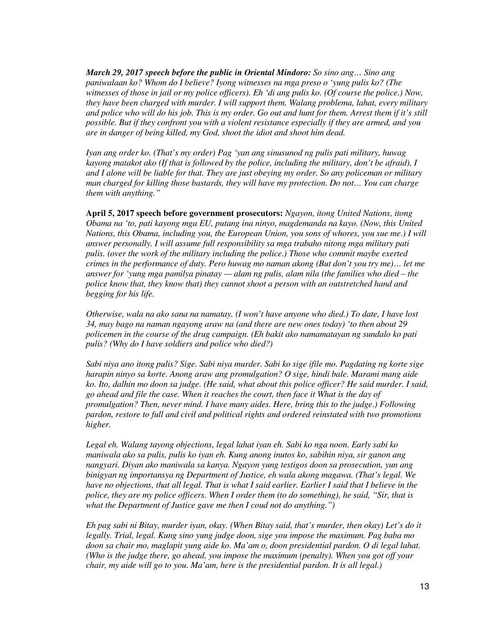*March 29, 2017 speech before the public in Oriental Mindoro: So sino ang… Sino ang paniwalaan ko? Whom do I believe? Iyong witnesses na mga preso o 'yung pulis ko? (The witnesses of those in jail or my police officers). Eh 'di ang pulis ko. (Of course the police.) Now, they have been charged with murder. I will support them. Walang problema, lahat, every military and police who will do his job. This is my order. Go out and hunt for them. Arrest them if it's still possible. But if they confront you with a violent resistance especially if they are armed, and you are in danger of being killed, my God, shoot the idiot and shoot him dead.* 

*Iyan ang order ko. (That's my order) Pag 'yan ang sinusunod ng pulis pati military, huwag kayong matakot ako (If that is followed by the police, including the military, don't be afraid), I and I alone will be liable for that. They are just obeying my order. So any policeman or military man charged for killing those bastards, they will have my protection. Do not… You can charge them with anything."* 

**April 5, 2017 speech before government prosecutors:** *Ngayon, itong United Nations, itong Obama na 'to, pati kayong mga EU, putang ina ninyo, magdemanda na kayo. (Now, this United Nations, this Obama, including you, the European Union, you sons of whores, you sue me.) I will answer personally. I will assume full responsibility sa mga trabaho nitong mga military pati pulis. (over the work of the military including the police.) Those who commit maybe exerted crimes in the performance of duty. Pero huwag mo naman akong (But don't you try me)… let me answer for 'yung mga pamilya pinatay — alam ng pulis, alam nila (the families who died – the police know that, they know that) they cannot shoot a person with an outstretched hand and begging for his life.* 

*Otherwise, wala na ako sana na namatay. (I won't have anyone who died.) To date, I have lost 34, may bago na naman ngayong araw na (and there are new ones today) 'to then about 29 policemen in the course of the drug campaign. (Eh bakit ako namamatayan ng sundalo ko pati pulis? (Why do I have soldiers and police who died?)* 

*Sabi niya ano itong pulis? Sige. Sabi niya murder. Sabi ko sige ifile mo. Pagdating ng korte sige harapin ninyo sa korte. Anong araw ang promulgation? O sige, hindi bale. Marami mang aide ko. Ito, dalhin mo doon sa judge. (He said, what about this police officer? He said murder. I said, go ahead and file the case. When it reaches the court, then face it What is the day of promulgation? Then, never mind. I have many aides. Here, bring this to the judge.) Following pardon, restore to full and civil and political rights and ordered reinstated with two promotions higher.* 

*Legal eh. Walang tayong objections, legal lahat iyan eh. Sabi ko nga noon. Early sabi ko maniwala ako sa pulis, pulis ko iyan eh. Kung anong inutos ko, sabihin niya, sir ganon ang nangyari. Diyan ako maniwala sa kanya. Ngayon yung testigos doon sa prosecution, yun ang binigyan ng importansya ng Department of Justice, eh wala akong magawa. (That's legal. We have no objections, that all legal. That is what I said earlier. Earlier I said that I believe in the police, they are my police officers. When I order them (to do something), he said, "Sir, that is what the Department of Justice gave me then I coud not do anything.")* 

*Eh pag sabi ni Bitay, murder iyan, okay. (When Bitay said, that's murder, then okay) Let's do it legally. Trial, legal. Kung sino yung judge doon, sige you impose the maximum. Pag baba mo doon sa chair mo, maglapit yung aide ko. Ma'am o, doon presidential pardon. O di legal lahat. (Who is the judge there, go ahead, you impose the maximum (penalty). When you got off your chair, my aide will go to you. Ma'am, here is the presidential pardon. It is all legal.)*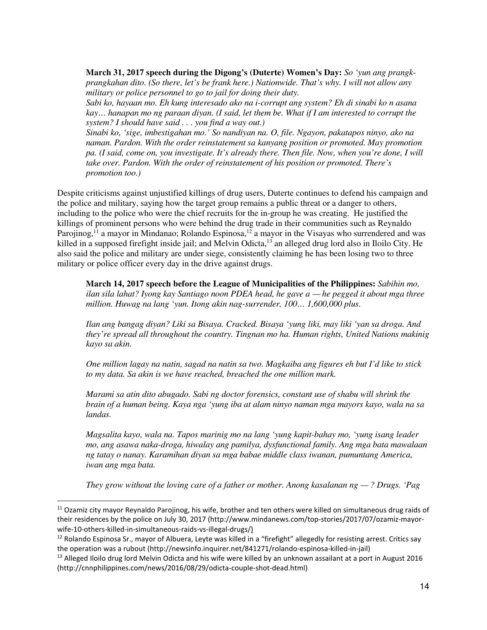**March 31, 2017 speech during the Digong's (Duterte) Women's Day:** *So 'yun ang prangkprangkahan dito. (So there, let's be frank here.) Nationwide. That's why. I will not allow any military or police personnel to go to jail for doing their duty.* 

*Sabi ko, hayaan mo. Eh kung interesado ako na i-corrupt ang system? Eh di sinabi ko n asana kay… hanapan mo ng paraan diyan. (I said, let them be. What if I am interested to corrupt the system? I should have said . . . you find a way out.)* 

*Sinabi ko, 'sige, imbestigahan mo.' So nandiyan na. O, file. Ngayon, pakatapos ninyo, ako na naman. Pardon. With the order reinstatement sa kanyang position or promoted. May promotion pa. (I said, come on, you investigate. It's already there. Then file. Now, when you're done, I will take over. Pardon. With the order of reinstatement of his position or promoted. There's promotion too.)*

Despite criticisms against unjustified killings of drug users, Duterte continues to defend his campaign and the police and military, saying how the target group remains a public threat or a danger to others, including to the police who were the chief recruits for the in-group he was creating. He justified the killings of prominent persons who were behind the drug trade in their communities such as Reynaldo Parojinog,<sup>11</sup> a mayor in Mindanao; Rolando Espinosa,<sup>12</sup> a mayor in the Visayas who surrendered and was killed in a supposed firefight inside jail; and Melvin Odicta,<sup>13</sup> an alleged drug lord also in Iloilo City. He also said the police and military are under siege, consistently claiming he has been losing two to three military or police officer every day in the drive against drugs.

**March 14, 2017 speech before the League of Municipalities of the Philippines:** *Sabihin mo, ilan sila lahat? Iyong kay Santiago noon PDEA head, he gave a — he pegged it about mga three million. Huwag na lang 'yun. Itong akin nag-surrender, 100… 1,600,000 plus.* 

*Ilan ang bangag diyan? Liki sa Bisaya. Cracked. Bisaya 'yung liki, may liki 'yan sa droga. And they're spread all throughout the country. Tingnan mo ha. Human rights, United Nations makinig kayo sa akin.* 

*One million lagay na natin, sagad na natin sa two. Magkaiba ang figures eh but I'd like to stick to my data. Sa akin is we have reached, breached the one million mark.* 

*Marami sa atin dito abugado. Sabi ng doctor forensics, constant use of shabu will shrink the brain of a human being. Kaya nga 'yung iba at alam ninyo naman mga mayors kayo, wala na sa landas.* 

*Magsalita kayo, wala na. Tapos marinig mo na lang 'yung kapit-bahay mo, 'yung isang leader mo, ang asawa naka-droga, hiwalay ang pamilya, dysfunctional family. Ang mga bata mawalaan ng tatay o nanay. Karamihan diyan sa mga babae middle class iwanan, pumuntang America, iwan ang mga bata.* 

*They grow without the loving care of a father or mother. Anong kasalanan ng — ? Drugs. 'Pag* 

l.

<sup>&</sup>lt;sup>11</sup> Ozamiz city mayor Reynaldo Parojinog, his wife, brother and ten others were killed on simultaneous drug raids of their residences by the police on July 30, 2017 (http://www.mindanews.com/top-stories/2017/07/ozamiz-mayorwife-10-others-killed-in-simultaneous-raids-vs-illegal-drugs/)

 $12$  Rolando Espinosa Sr., mayor of Albuera, Leyte was killed in a "firefight" allegedly for resisting arrest. Critics say the operation was a rubout (http://newsinfo.inquirer.net/841271/rolando-espinosa-killed-in-jail)

 $13$  Alleged Iloilo drug lord Melvin Odicta and his wife were killed by an unknown assailant at a port in August 2016 (http://cnnphilippines.com/news/2016/08/29/odicta-couple-shot-dead.html)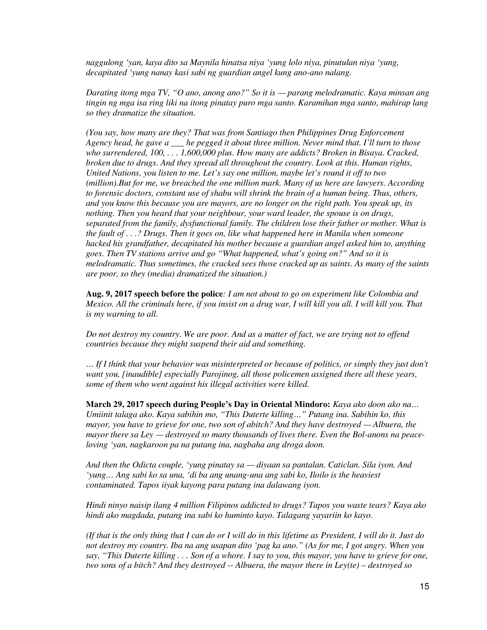*naggulong 'yan, kaya dito sa Maynila hinatsa niya 'yung lolo niya, pinutulan niya 'yung, decapitated 'yung nanay kasi sabi ng guardian angel kung ano-ano nalang.* 

*Darating itong mga TV, "O ano, anong ano?" So it is — parang melodramatic. Kaya minsan ang tingin ng mga isa ring liki na itong pinatay puro mga santo. Karamihan mga santo, mahirap lang so they dramatize the situation.*

*(You say, how many are they? That was from Santiago then Philippines Drug Enforcement Agency head, he gave a \_\_\_ he pegged it about three million. Never mind that. I'll turn to those who surrendered, 100, . . . 1,600,000 plus. How many are addicts? Broken in Bisaya. Cracked, broken due to drugs. And they spread all throughout the country. Look at this. Human rights, United Nations, you listen to me. Let's say one million, maybe let's round it off to two (million).But for me, we breached the one million mark. Many of us here are lawyers. According to forensic doctors, constant use of shabu will shrink the brain of a human being. Thus, others, and you know this because you are mayors, are no longer on the right path. You speak up, its nothing. Then you heard that your neighbour, your ward leader, the spouse is on drugs, separated from the family, dysfunctional family. The children lose their father or mother. What is the fault of . . .? Drugs. Then it goes on, like what happened here in Manila when someone hacked his grandfather, decapitated his mother because a guardian angel asked him to, anything goes. Then TV stations arrive and go "What happened, what's going on?" And so it is melodramatic. Thus sometimes, the cracked sees those cracked up as saints. As many of the saints are poor, so they (media) dramatized the situation.)* 

**Aug. 9, 2017 speech before the police***: I am not about to go on experiment like Colombia and Mexico. All the criminals here, if you insist on a drug war, I will kill you all. I will kill you. That is my warning to all.* 

*Do not destroy my country. We are poor. And as a matter of fact, we are trying not to offend countries because they might suspend their aid and something.* 

*… If I think that your behavior was misinterpreted or because of politics, or simply they just don't want you, [inaudible] especially Parojinog, all those policemen assigned there all these years, some of them who went against his illegal activities were killed.* 

**March 29, 2017 speech during People's Day in Oriental Mindoro:** *Kaya ako doon ako na… Umiinit talaga ako. Kaya sabihin mo, "This Duterte killing…" Putang ina. Sabihin ko, this mayor, you have to grieve for one, two son of abitch? And they have destroyed — Albuera, the mayor there sa Ley — destroyed so many thousands of lives there. Even the Bol-anons na peaceloving 'yan, nagkaroon pa na putang ina, nagbaha ang droga doon.* 

*And then the Odicta couple, 'yung pinatay sa — diyaan sa pantalan. Caticlan. Sila iyon. And 'yung… Ang sabi ko sa una, 'di ba ang unang-una ang sabi ko, Iloilo is the heaviest contaminated. Tapos iiyak kayong para putang ina dalawang iyon.* 

*Hindi ninyo naisip ilang 4 million Filipinos addicted to drugs? Tapos you waste tears? Kaya ako hindi ako magdada, putang ina sabi ko huminto kayo. Talagang yayariin ko kayo.* 

*(If that is the only thing that I can do or I will do in this lifetime as President, I will do it. Just do not destroy my country. Iba na ang usapan dito 'pag ka ano." (As for me, I got angry. When you say, "This Duterte killing . . . Son of a whore. I say to you, this mayor, you have to grieve for one, two sons of a bitch? And they destroyed -- Albuera, the mayor there in Ley(te) – destroyed so*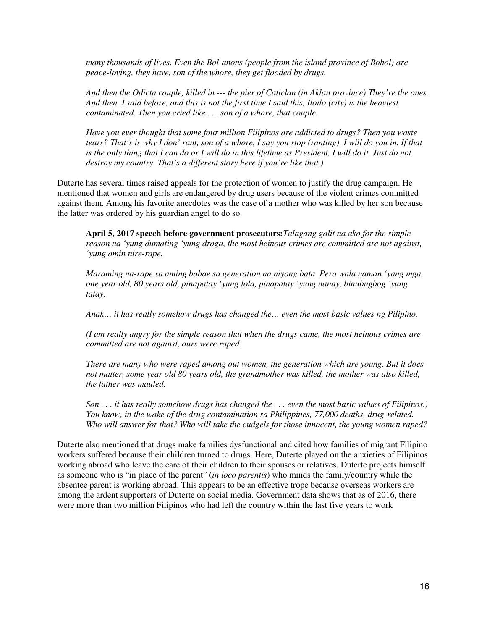*many thousands of lives. Even the Bol-anons (people from the island province of Bohol) are peace-loving, they have, son of the whore, they get flooded by drugs.* 

*And then the Odicta couple, killed in --- the pier of Caticlan (in Aklan province) They're the ones. And then. I said before, and this is not the first time I said this, Iloilo (city) is the heaviest contaminated. Then you cried like . . . son of a whore, that couple.* 

*Have you ever thought that some four million Filipinos are addicted to drugs? Then you waste tears? That's is why I don' rant, son of a whore, I say you stop (ranting). I will do you in. If that*  is the only thing that I can do or I will do in this lifetime as President, I will do it. Just do not *destroy my country. That's a different story here if you're like that.)* 

Duterte has several times raised appeals for the protection of women to justify the drug campaign. He mentioned that women and girls are endangered by drug users because of the violent crimes committed against them. Among his favorite anecdotes was the case of a mother who was killed by her son because the latter was ordered by his guardian angel to do so.

**April 5, 2017 speech before government prosecutors:***Talagang galit na ako for the simple reason na 'yung dumating 'yung droga, the most heinous crimes are committed are not against, 'yung amin nire-rape.* 

*Maraming na-rape sa aming babae sa generation na niyong bata. Pero wala naman 'yang mga one year old, 80 years old, pinapatay 'yung lola, pinapatay 'yung nanay, binubugbog 'yung tatay.* 

*Anak… it has really somehow drugs has changed the… even the most basic values ng Pilipino.* 

*(I am really angry for the simple reason that when the drugs came, the most heinous crimes are committed are not against, ours were raped.* 

*There are many who were raped among out women, the generation which are young. But it does not matter, some year old 80 years old, the grandmother was killed, the mother was also killed, the father was mauled.* 

*Son . . . it has really somehow drugs has changed the . . . even the most basic values of Filipinos.) You know, in the wake of the drug contamination sa Philippines, 77,000 deaths, drug-related. Who will answer for that? Who will take the cudgels for those innocent, the young women raped?* 

Duterte also mentioned that drugs make families dysfunctional and cited how families of migrant Filipino workers suffered because their children turned to drugs. Here, Duterte played on the anxieties of Filipinos working abroad who leave the care of their children to their spouses or relatives. Duterte projects himself as someone who is "in place of the parent" (*in loco parentis*) who minds the family/country while the absentee parent is working abroad. This appears to be an effective trope because overseas workers are among the ardent supporters of Duterte on social media. Government data shows that as of 2016, there were more than two million Filipinos who had left the country within the last five years to work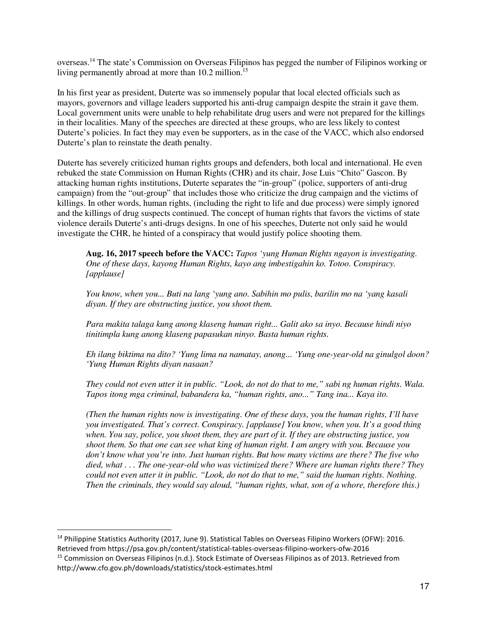overseas.<sup>14</sup> The state's Commission on Overseas Filipinos has pegged the number of Filipinos working or living permanently abroad at more than 10.2 million.<sup>15</sup>

In his first year as president, Duterte was so immensely popular that local elected officials such as mayors, governors and village leaders supported his anti-drug campaign despite the strain it gave them. Local government units were unable to help rehabilitate drug users and were not prepared for the killings in their localities. Many of the speeches are directed at these groups, who are less likely to contest Duterte's policies. In fact they may even be supporters, as in the case of the VACC, which also endorsed Duterte's plan to reinstate the death penalty.

Duterte has severely criticized human rights groups and defenders, both local and international. He even rebuked the state Commission on Human Rights (CHR) and its chair, Jose Luis "Chito" Gascon. By attacking human rights institutions, Duterte separates the "in-group" (police, supporters of anti-drug campaign) from the "out-group" that includes those who criticize the drug campaign and the victims of killings. In other words, human rights, (including the right to life and due process) were simply ignored and the killings of drug suspects continued. The concept of human rights that favors the victims of state violence derails Duterte's anti-drugs designs. In one of his speeches, Duterte not only said he would investigate the CHR, he hinted of a conspiracy that would justify police shooting them.

**Aug. 16, 2017 speech before the VACC:** *Tapos 'yung Human Rights ngayon is investigating. One of these days, kayong Human Rights, kayo ang imbestigahin ko. Totoo. Conspiracy. [applause]* 

*You know, when you... Buti na lang 'yung ano. Sabihin mo pulis, barilin mo na 'yang kasali diyan. If they are obstructing justice, you shoot them.* 

*Para makita talaga kung anong klaseng human right... Galit ako sa inyo. Because hindi niyo tinitimpla kung anong klaseng papasukan ninyo. Basta human rights.* 

*Eh ilang biktima na dito? 'Yung lima na namatay, anong... 'Yung one-year-old na ginulgol doon? 'Yung Human Rights diyan nasaan?* 

*They could not even utter it in public. "Look, do not do that to me," sabi ng human rights. Wala. Tapos itong mga criminal, babandera ka, "human rights, ano..." Tang ina... Kaya ito.*

*(Then the human rights now is investigating. One of these days, you the human rights, I'll have you investigated. That's correct. Conspiracy. [applause] You know, when you. It's a good thing when. You say, police, you shoot them, they are part of it. If they are obstructing justice, you shoot them. So that one can see what king of human right. I am angry with you. Because you don't know what you're into. Just human rights. But how many victims are there? The five who died, what . . . The one-year-old who was victimized there? Where are human rights there? They could not even utter it in public. "Look, do not do that to me," said the human rights. Nothing. Then the criminals, they would say aloud, "human rights, what, son of a whore, therefore this.)*

 $\overline{a}$ 

<sup>&</sup>lt;sup>14</sup> Philippine Statistics Authority (2017, June 9). Statistical Tables on Overseas Filipino Workers (OFW): 2016. Retrieved from https://psa.gov.ph/content/statistical-tables-overseas-filipino-workers-ofw-2016

<sup>15</sup> Commission on Overseas Filipinos (n.d.). Stock Estimate of Overseas Filipinos as of 2013. Retrieved from http://www.cfo.gov.ph/downloads/statistics/stock-estimates.html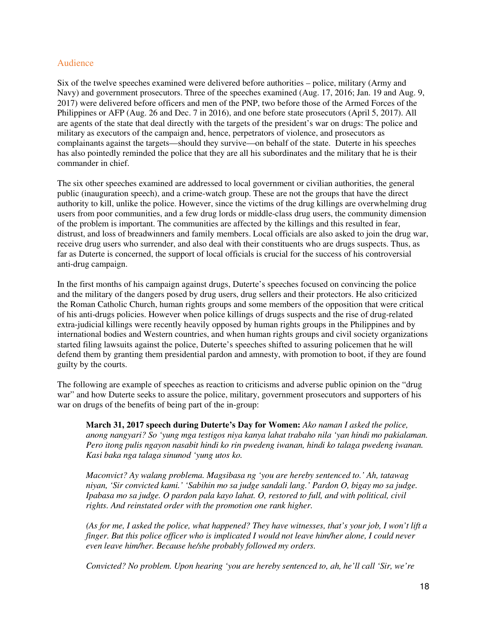#### Audience

Six of the twelve speeches examined were delivered before authorities – police, military (Army and Navy) and government prosecutors. Three of the speeches examined (Aug. 17, 2016; Jan. 19 and Aug. 9, 2017) were delivered before officers and men of the PNP, two before those of the Armed Forces of the Philippines or AFP (Aug. 26 and Dec. 7 in 2016), and one before state prosecutors (April 5, 2017). All are agents of the state that deal directly with the targets of the president's war on drugs: The police and military as executors of the campaign and, hence, perpetrators of violence, and prosecutors as complainants against the targets—should they survive—on behalf of the state. Duterte in his speeches has also pointedly reminded the police that they are all his subordinates and the military that he is their commander in chief.

The six other speeches examined are addressed to local government or civilian authorities, the general public (inauguration speech), and a crime-watch group. These are not the groups that have the direct authority to kill, unlike the police. However, since the victims of the drug killings are overwhelming drug users from poor communities, and a few drug lords or middle-class drug users, the community dimension of the problem is important. The communities are affected by the killings and this resulted in fear, distrust, and loss of breadwinners and family members. Local officials are also asked to join the drug war, receive drug users who surrender, and also deal with their constituents who are drugs suspects. Thus, as far as Duterte is concerned, the support of local officials is crucial for the success of his controversial anti-drug campaign.

In the first months of his campaign against drugs, Duterte's speeches focused on convincing the police and the military of the dangers posed by drug users, drug sellers and their protectors. He also criticized the Roman Catholic Church, human rights groups and some members of the opposition that were critical of his anti-drugs policies. However when police killings of drugs suspects and the rise of drug-related extra-judicial killings were recently heavily opposed by human rights groups in the Philippines and by international bodies and Western countries, and when human rights groups and civil society organizations started filing lawsuits against the police, Duterte's speeches shifted to assuring policemen that he will defend them by granting them presidential pardon and amnesty, with promotion to boot, if they are found guilty by the courts.

The following are example of speeches as reaction to criticisms and adverse public opinion on the "drug war" and how Duterte seeks to assure the police, military, government prosecutors and supporters of his war on drugs of the benefits of being part of the in-group:

**March 31, 2017 speech during Duterte's Day for Women:** *Ako naman I asked the police, anong nangyari? So 'yung mga testigos niya kanya lahat trabaho nila 'yan hindi mo pakialaman. Pero itong pulis ngayon nasabit hindi ko rin pwedeng iwanan, hindi ko talaga pwedeng iwanan. Kasi baka nga talaga sinunod 'yung utos ko.* 

*Maconvict? Ay walang problema. Magsibasa ng 'you are hereby sentenced to.' Ah, tatawag niyan, 'Sir convicted kami.' 'Sabihin mo sa judge sandali lang.' Pardon O, bigay mo sa judge. Ipabasa mo sa judge. O pardon pala kayo lahat. O, restored to full, and with political, civil rights. And reinstated order with the promotion one rank higher.* 

*(As for me, I asked the police, what happened? They have witnesses, that's your job, I won't lift a finger. But this police officer who is implicated I would not leave him/her alone, I could never even leave him/her. Because he/she probably followed my orders.* 

*Convicted? No problem. Upon hearing 'you are hereby sentenced to, ah, he'll call 'Sir, we're*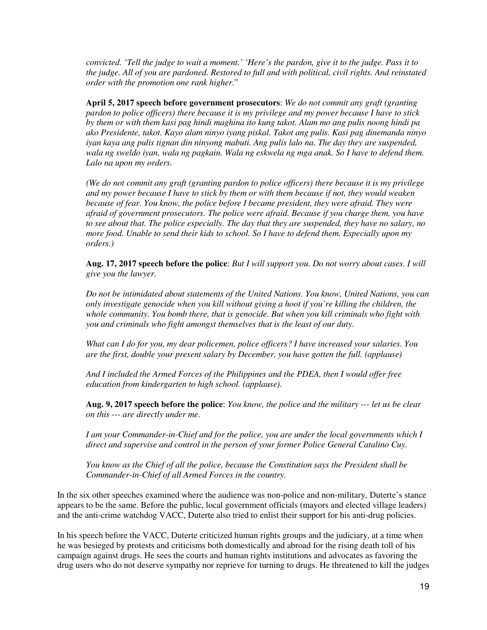*convicted. 'Tell the judge to wait a moment.' 'Here's the pardon, give it to the judge. Pass it to the judge. All of you are pardoned. Restored to full and with political, civil rights. And reinstated order with the promotion one rank higher.*"

**April 5, 2017 speech before government prosecutors**: *We do not commit any graft (granting pardon to police officers) there because it is my privilege and my power because I have to stick by them or with them kasi pag hindi maghina ito kung takot. Alam mo ang pulis noong hindi pa ako Presidente, takot. Kayo alam ninyo iyang piskal. Takot ang pulis. Kasi pag dinemanda ninyo iyan kaya ang pulis tignan din ninyong mabuti. Ang pulis lalo na. The day they are suspended, wala ng sweldo iyan, wala ng pagkain. Wala ng eskwela ng mga anak. So I have to defend them. Lalo na upon my orders.* 

*(We do not commit any graft (granting pardon to police officers) there because it is my privilege and my power because I have to stick by them or with them because if not, they would weaken because of fear. You know, the police before I became president, they were afraid. They were afraid of government prosecutors. The police were afraid. Because if you charge them, you have to see about that. The police especially. The day that they are suspended, they have no salary, no more food. Unable to send their kids to school. So I have to defend them. Especially upon my orders.)* 

**Aug. 17, 2017 speech before the police**: *But I will support you. Do not worry about cases. I will give you the lawyer.* 

*Do not be intimidated about statements of the United Nations. You know, United Nations, you can only investigate genocide when you kill without giving a hoot if you're killing the children, the whole community. You bomb there, that is genocide. But when you kill criminals who fight with you and criminals who fight amongst themselves that is the least of our duty.* 

*What can I do for you, my dear policemen, police officers? I have increased your salaries. You are the first, double your present salary by December, you have gotten the full. (applause)* 

*And I included the Armed Forces of the Philippines and the PDEA, then I would offer free education from kindergarten to high school. (applause).* 

**Aug. 9, 2017 speech before the police**: *You know, the police and the military --- let us be clear on this --- are directly under me.* 

*I am your Commander-in-Chief and for the police, you are under the local governments which I direct and supervise and control in the person of your former Police General Catalino Cuy.* 

*You know as the Chief of all the police, because the Constitution says the President shall be Commander-in-Chief of all Armed Forces in the country.* 

In the six other speeches examined where the audience was non-police and non-military, Duterte's stance appears to be the same. Before the public, local government officials (mayors and elected village leaders) and the anti-crime watchdog VACC, Duterte also tried to enlist their support for his anti-drug policies.

In his speech before the VACC, Duterte criticized human rights groups and the judiciary, at a time when he was besieged by protests and criticisms both domestically and abroad for the rising death toll of his campaign against drugs. He sees the courts and human rights institutions and advocates as favoring the drug users who do not deserve sympathy nor reprieve for turning to drugs. He threatened to kill the judges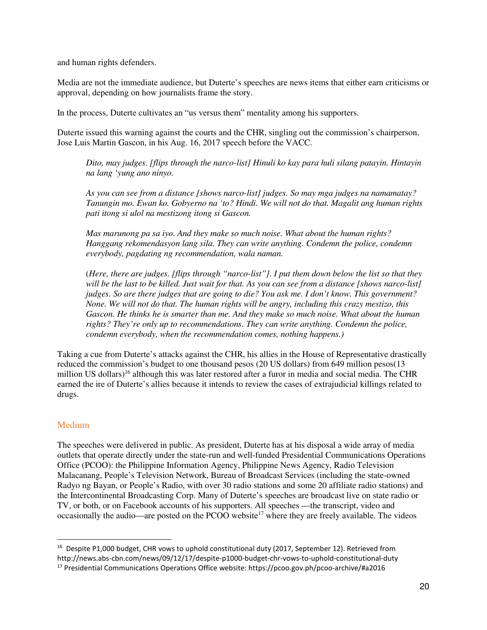and human rights defenders.

Media are not the immediate audience, but Duterte's speeches are news items that either earn criticisms or approval, depending on how journalists frame the story.

In the process, Duterte cultivates an "us versus them" mentality among his supporters.

Duterte issued this warning against the courts and the CHR, singling out the commission's chairperson, Jose Luis Martin Gascon, in his Aug. 16, 2017 speech before the VACC.

*Dito, may judges. [flips through the narco-list] Hinuli ko kay para huli silang patayin. Hintayin na lang 'yung ano ninyo.* 

*As you can see from a distance [shows narco-list] judges. So may mga judges na namamatay? Tanungin mo. Ewan ko. Gobyerno na 'to? Hindi. We will not do that. Magalit ang human rights pati itong si ulol na mestizong itong si Gascon.* 

*Mas marunong pa sa iyo. And they make so much noise. What about the human rights? Hanggang rekomendasyon lang sila. They can write anything. Condemn the police, condemn everybody, pagdating ng recommendation, wala naman.*

(*Here, there are judges. [flips through "narco-list"]. I put them down below the list so that they will be the last to be killed. Just wait for that. As you can see from a distance [shows narco-list] judges. So are there judges that are going to die? You ask me. I don't know. This government? None. We will not do that. The human rights will be angry, including this crazy mestizo, this Gascon. He thinks he is smarter than me. And they make so much noise. What about the human rights? They're only up to recommendations. They can write anything. Condemn the police, condemn everybody, when the recommendation comes, nothing happens.)* 

Taking a cue from Duterte's attacks against the CHR, his allies in the House of Representative drastically reduced the commission's budget to one thousand pesos (20 US dollars) from 649 million pesos(13 million US dollars)<sup>16</sup> although this was later restored after a furor in media and social media. The CHR earned the ire of Duterte's allies because it intends to review the cases of extrajudicial killings related to drugs.

### Medium

l.

The speeches were delivered in public. As president, Duterte has at his disposal a wide array of media outlets that operate directly under the state-run and well-funded Presidential Communications Operations Office (PCOO): the Philippine Information Agency, Philippine News Agency, Radio Television Malacanang, People's Television Network, Bureau of Broadcast Services (including the state-owned Radyo ng Bayan, or People's Radio, with over 30 radio stations and some 20 affiliate radio stations) and the Intercontinental Broadcasting Corp. Many of Duterte's speeches are broadcast live on state radio or TV, or both, or on Facebook accounts of his supporters. All speeches —the transcript, video and occasionally the audio—are posted on the PCOO website<sup>17</sup> where they are freely available. The videos

<sup>&</sup>lt;sup>16</sup> Despite P1,000 budget, CHR vows to uphold constitutional duty (2017, September 12). Retrieved from http://news.abs-cbn.com/news/09/12/17/despite-p1000-budget-chr-vows-to-uphold-constitutional-duty 17 Presidential Communications Operations Office website: https://pcoo.gov.ph/pcoo-archive/#a2016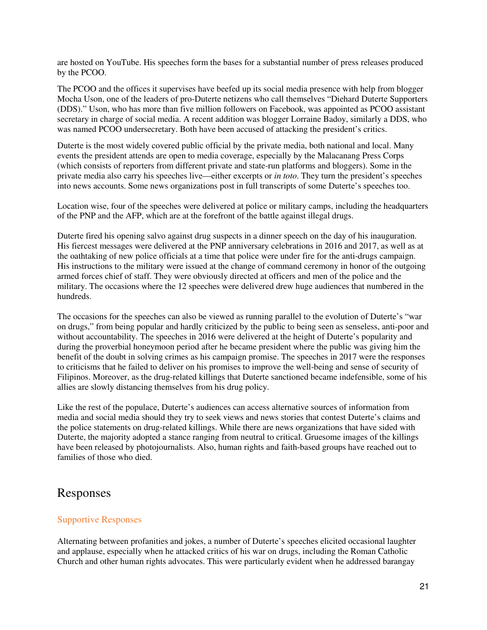are hosted on YouTube. His speeches form the bases for a substantial number of press releases produced by the PCOO.

The PCOO and the offices it supervises have beefed up its social media presence with help from blogger Mocha Uson, one of the leaders of pro-Duterte netizens who call themselves "Diehard Duterte Supporters (DDS)." Uson, who has more than five million followers on Facebook, was appointed as PCOO assistant secretary in charge of social media. A recent addition was blogger Lorraine Badoy, similarly a DDS, who was named PCOO undersecretary. Both have been accused of attacking the president's critics.

Duterte is the most widely covered public official by the private media, both national and local. Many events the president attends are open to media coverage, especially by the Malacanang Press Corps (which consists of reporters from different private and state-run platforms and bloggers). Some in the private media also carry his speeches live—either excerpts or *in toto*. They turn the president's speeches into news accounts. Some news organizations post in full transcripts of some Duterte's speeches too.

Location wise, four of the speeches were delivered at police or military camps, including the headquarters of the PNP and the AFP, which are at the forefront of the battle against illegal drugs.

Duterte fired his opening salvo against drug suspects in a dinner speech on the day of his inauguration. His fiercest messages were delivered at the PNP anniversary celebrations in 2016 and 2017, as well as at the oathtaking of new police officials at a time that police were under fire for the anti-drugs campaign. His instructions to the military were issued at the change of command ceremony in honor of the outgoing armed forces chief of staff. They were obviously directed at officers and men of the police and the military. The occasions where the 12 speeches were delivered drew huge audiences that numbered in the hundreds.

The occasions for the speeches can also be viewed as running parallel to the evolution of Duterte's "war on drugs," from being popular and hardly criticized by the public to being seen as senseless, anti-poor and without accountability. The speeches in 2016 were delivered at the height of Duterte's popularity and during the proverbial honeymoon period after he became president where the public was giving him the benefit of the doubt in solving crimes as his campaign promise. The speeches in 2017 were the responses to criticisms that he failed to deliver on his promises to improve the well-being and sense of security of Filipinos. Moreover, as the drug-related killings that Duterte sanctioned became indefensible, some of his allies are slowly distancing themselves from his drug policy.

Like the rest of the populace, Duterte's audiences can access alternative sources of information from media and social media should they try to seek views and news stories that contest Duterte's claims and the police statements on drug-related killings. While there are news organizations that have sided with Duterte, the majority adopted a stance ranging from neutral to critical. Gruesome images of the killings have been released by photojournalists. Also, human rights and faith-based groups have reached out to families of those who died.

# Responses

# Supportive Responses

Alternating between profanities and jokes, a number of Duterte's speeches elicited occasional laughter and applause, especially when he attacked critics of his war on drugs, including the Roman Catholic Church and other human rights advocates. This were particularly evident when he addressed barangay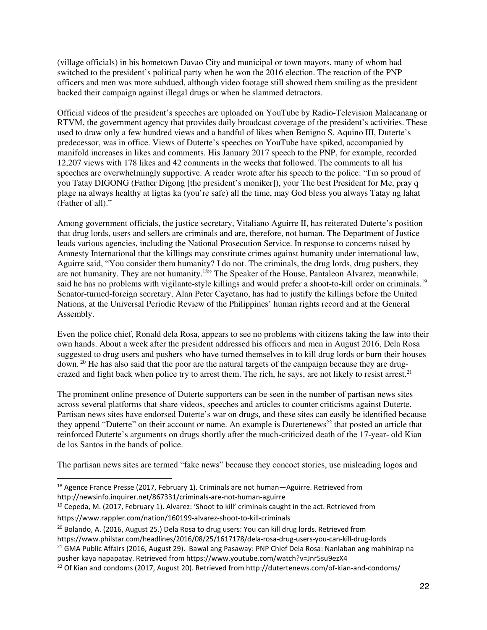(village officials) in his hometown Davao City and municipal or town mayors, many of whom had switched to the president's political party when he won the 2016 election. The reaction of the PNP officers and men was more subdued, although video footage still showed them smiling as the president backed their campaign against illegal drugs or when he slammed detractors.

Official videos of the president's speeches are uploaded on YouTube by Radio-Television Malacanang or RTVM, the government agency that provides daily broadcast coverage of the president's activities. These used to draw only a few hundred views and a handful of likes when Benigno S. Aquino III, Duterte's predecessor, was in office. Views of Duterte's speeches on YouTube have spiked, accompanied by manifold increases in likes and comments. His January 2017 speech to the PNP, for example, recorded 12,207 views with 178 likes and 42 comments in the weeks that followed. The comments to all his speeches are overwhelmingly supportive. A reader wrote after his speech to the police: "I'm so proud of you Tatay DIGONG (Father Digong [the president's moniker]), your The best President for Me, pray q plage na always healthy at ligtas ka (you're safe) all the time, may God bless you always Tatay ng lahat (Father of all)."

Among government officials, the justice secretary, Vitaliano Aguirre II, has reiterated Duterte's position that drug lords, users and sellers are criminals and are, therefore, not human. The Department of Justice leads various agencies, including the National Prosecution Service. In response to concerns raised by Amnesty International that the killings may constitute crimes against humanity under international law, Aguirre said, "You consider them humanity? I do not. The criminals, the drug lords, drug pushers, they are not humanity. They are not humanity.<sup>18</sup><sup>3</sup> The Speaker of the House, Pantaleon Alvarez, meanwhile, said he has no problems with vigilante-style killings and would prefer a shoot-to-kill order on criminals.<sup>19</sup> Senator-turned-foreign secretary, Alan Peter Cayetano, has had to justify the killings before the United Nations, at the Universal Periodic Review of the Philippines' human rights record and at the General Assembly.

Even the police chief, Ronald dela Rosa, appears to see no problems with citizens taking the law into their own hands. About a week after the president addressed his officers and men in August 2016, Dela Rosa suggested to drug users and pushers who have turned themselves in to kill drug lords or burn their houses down. <sup>20</sup> He has also said that the poor are the natural targets of the campaign because they are drugcrazed and fight back when police try to arrest them. The rich, he says, are not likely to resist arrest.<sup>21</sup>

The prominent online presence of Duterte supporters can be seen in the number of partisan news sites across several platforms that share videos, speeches and articles to counter criticisms against Duterte. Partisan news sites have endorsed Duterte's war on drugs, and these sites can easily be identified because they append "Duterte" on their account or name. An example is Dutertenews<sup>22</sup> that posted an article that reinforced Duterte's arguments on drugs shortly after the much-criticized death of the 17-year- old Kian de los Santos in the hands of police.

The partisan news sites are termed "fake news" because they concoct stories, use misleading logos and

l.

<sup>&</sup>lt;sup>18</sup> Agence France Presse (2017, February 1). Criminals are not human—Aguirre. Retrieved from http://newsinfo.inquirer.net/867331/criminals-are-not-human-aguirre

<sup>&</sup>lt;sup>19</sup> Cepeda, M. (2017, February 1). Alvarez: 'Shoot to kill' criminals caught in the act. Retrieved from

https://www.rappler.com/nation/160199-alvarez-shoot-to-kill-criminals

 $20$  Bolando, A. (2016, August 25.) Dela Rosa to drug users: You can kill drug lords. Retrieved from

https://www.philstar.com/headlines/2016/08/25/1617178/dela-rosa-drug-users-you-can-kill-drug-lords <sup>21</sup> GMA Public Affairs (2016, August 29). Bawal ang Pasaway: PNP Chief Dela Rosa: Nanlaban ang mahihirap na pusher kaya napapatay. Retrieved from https://www.youtube.com/watch?v=Jnr5su9ezX4

<sup>&</sup>lt;sup>22</sup> Of Kian and condoms (2017, August 20). Retrieved from http://dutertenews.com/of-kian-and-condoms/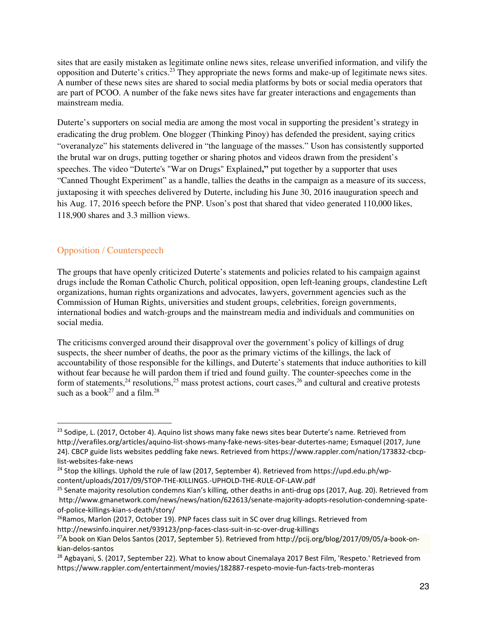sites that are easily mistaken as legitimate online news sites, release unverified information, and vilify the opposition and Duterte's critics.<sup>23</sup> They appropriate the news forms and make-up of legitimate news sites. A number of these news sites are shared to social media platforms by bots or social media operators that are part of PCOO. A number of the fake news sites have far greater interactions and engagements than mainstream media.

Duterte's supporters on social media are among the most vocal in supporting the president's strategy in eradicating the drug problem. One blogger (Thinking Pinoy) has defended the president, saying critics "overanalyze" his statements delivered in "the language of the masses." Uson has consistently supported the brutal war on drugs, putting together or sharing photos and videos drawn from the president's speeches. The video "Duterte's "War on Drugs" Explained**,"** put together by a supporter that uses "Canned Thought Experiment" as a handle, tallies the deaths in the campaign as a measure of its success, juxtaposing it with speeches delivered by Duterte, including his June 30, 2016 inauguration speech and his Aug. 17, 2016 speech before the PNP. Uson's post that shared that video generated 110,000 likes, 118,900 shares and 3.3 million views.

### Opposition / Counterspeech

L

The groups that have openly criticized Duterte's statements and policies related to his campaign against drugs include the Roman Catholic Church, political opposition, open left-leaning groups, clandestine Left organizations, human rights organizations and advocates, lawyers, government agencies such as the Commission of Human Rights, universities and student groups, celebrities, foreign governments, international bodies and watch-groups and the mainstream media and individuals and communities on social media.

The criticisms converged around their disapproval over the government's policy of killings of drug suspects, the sheer number of deaths, the poor as the primary victims of the killings, the lack of accountability of those responsible for the killings, and Duterte's statements that induce authorities to kill without fear because he will pardon them if tried and found guilty. The counter-speeches come in the form of statements,<sup>24</sup> resolutions,<sup>25</sup> mass protest actions, court cases,<sup>26</sup> and cultural and creative protests such as a book<sup>27</sup> and a film.<sup>28</sup>

<sup>&</sup>lt;sup>23</sup> Sodipe, L. (2017, October 4). Aquino list shows many fake news sites bear Duterte's name. Retrieved from http://verafiles.org/articles/aquino-list-shows-many-fake-news-sites-bear-dutertes-name; Esmaquel (2017, June 24). CBCP guide lists websites peddling fake news. Retrieved from https://www.rappler.com/nation/173832-cbcplist-websites-fake-news

<sup>&</sup>lt;sup>24</sup> Stop the killings. Uphold the rule of law (2017, September 4). Retrieved from https://upd.edu.ph/wpcontent/uploads/2017/09/STOP-THE-KILLINGS.-UPHOLD-THE-RULE-OF-LAW.pdf

<sup>&</sup>lt;sup>25</sup> Senate majority resolution condemns Kian's killing, other deaths in anti-drug ops (2017, Aug. 20). Retrieved from http://www.gmanetwork.com/news/news/nation/622613/senate-majority-adopts-resolution-condemning-spateof-police-killings-kian-s-death/story/

<sup>&</sup>lt;sup>26</sup>Ramos, Marlon (2017, October 19). PNP faces class suit in SC over drug killings. Retrieved from http://newsinfo.inquirer.net/939123/pnp-faces-class-suit-in-sc-over-drug-killings

<sup>27</sup>A book on Kian Delos Santos (2017, September 5). Retrieved from http://pcij.org/blog/2017/09/05/a-book-onkian-delos-santos

<sup>&</sup>lt;sup>28</sup> Agbayani, S. (2017, September 22). What to know about Cinemalaya 2017 Best Film, 'Respeto.' Retrieved from https://www.rappler.com/entertainment/movies/182887-respeto-movie-fun-facts-treb-monteras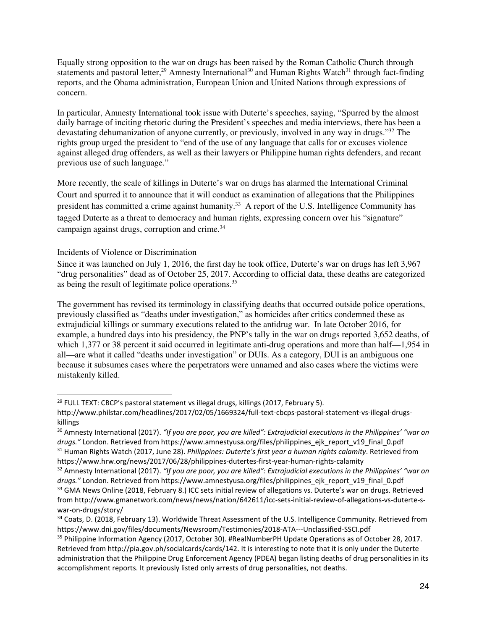Equally strong opposition to the war on drugs has been raised by the Roman Catholic Church through statements and pastoral letter,<sup>29</sup> Amnesty International<sup>30</sup> and Human Rights Watch<sup>31</sup> through fact-finding reports, and the Obama administration, European Union and United Nations through expressions of concern.

In particular, Amnesty International took issue with Duterte's speeches, saying, "Spurred by the almost daily barrage of inciting rhetoric during the President's speeches and media interviews, there has been a devastating dehumanization of anyone currently, or previously, involved in any way in drugs."<sup>32</sup> The rights group urged the president to "end of the use of any language that calls for or excuses violence against alleged drug offenders, as well as their lawyers or Philippine human rights defenders, and recant previous use of such language."

More recently, the scale of killings in Duterte's war on drugs has alarmed the International Criminal Court and spurred it to announce that it will conduct as examination of allegations that the Philippines president has committed a crime against humanity.<sup>33</sup> A report of the U.S. Intelligence Community has tagged Duterte as a threat to democracy and human rights, expressing concern over his "signature" campaign against drugs, corruption and crime.<sup>34</sup>

#### Incidents of Violence or Discrimination

 $\overline{a}$ 

Since it was launched on July 1, 2016, the first day he took office, Duterte's war on drugs has left 3,967 "drug personalities" dead as of October 25, 2017. According to official data, these deaths are categorized as being the result of legitimate police operations.<sup>35</sup>

The government has revised its terminology in classifying deaths that occurred outside police operations, previously classified as "deaths under investigation," as homicides after critics condemned these as extrajudicial killings or summary executions related to the antidrug war. In late October 2016, for example, a hundred days into his presidency, the PNP's tally in the war on drugs reported 3,652 deaths, of which 1,377 or 38 percent it said occurred in legitimate anti-drug operations and more than half—1,954 in all—are what it called "deaths under investigation" or DUIs. As a category, DUI is an ambiguous one because it subsumes cases where the perpetrators were unnamed and also cases where the victims were mistakenly killed.

<sup>&</sup>lt;sup>29</sup> FULL TEXT: CBCP's pastoral statement vs illegal drugs, killings (2017, February 5).

http://www.philstar.com/headlines/2017/02/05/1669324/full-text-cbcps-pastoral-statement-vs-illegal-drugskillings

<sup>30</sup> Amnesty International (2017). *"If you are poor, you are killed": Extrajudicial executions in the Philippines' "war on drugs."* London. Retrieved from https://www.amnestyusa.org/files/philippines\_ejk\_report\_v19\_final\_0.pdf <sup>31</sup> Human Rights Watch (2017, June 28). *Philippines: Duterte's first year a human rights calamity*. Retrieved from https://www.hrw.org/news/2017/06/28/philippines-dutertes-first-year-human-rights-calamity

<sup>32</sup> Amnesty International (2017). *"If you are poor, you are killed": Extrajudicial executions in the Philippines' "war on*  drugs." London. Retrieved from https://www.amnestyusa.org/files/philippines\_ejk\_report\_v19\_final\_0.pdf 33 GMA News Online (2018, February 8.) ICC sets initial review of allegations vs. Duterte's war on drugs. Retrieved from http://www.gmanetwork.com/news/news/nation/642611/icc-sets-initial-review-of-allegations-vs-duterte-swar-on-drugs/story/

<sup>34</sup> Coats, D. (2018, February 13). Worldwide Threat Assessment of the U.S. Intelligence Community. Retrieved from https://www.dni.gov/files/documents/Newsroom/Testimonies/2018-ATA---Unclassified-SSCI.pdf

<sup>&</sup>lt;sup>35</sup> Philippine Information Agency (2017, October 30). #RealNumberPH Update Operations as of October 28, 2017. Retrieved from http://pia.gov.ph/socialcards/cards/142. It is interesting to note that it is only under the Duterte administration that the Philippine Drug Enforcement Agency (PDEA) began listing deaths of drug personalities in its accomplishment reports. It previously listed only arrests of drug personalities, not deaths.